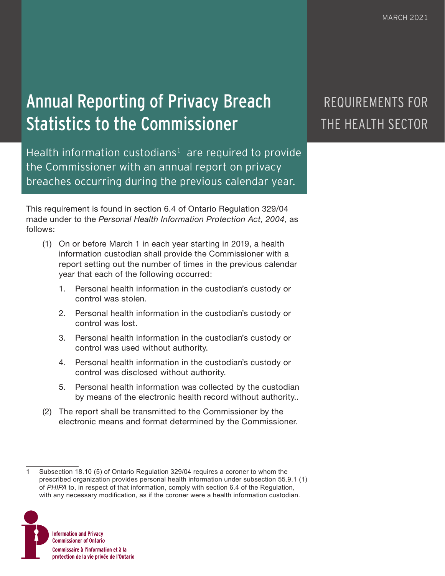# Annual Reporting of Privacy Breach Statistics to the Commissioner

Health information custodians<sup>1</sup> are required to provide the Commissioner with an annual report on privacy breaches occurring during the previous calendar year.

This requirement is found in section 6.4 of Ontario Regulation 329/04 made under to the *Personal Health Information Protection Act, 2004*, as follows:

- (1) On or before March 1 in each year starting in 2019, a health information custodian shall provide the Commissioner with a report setting out the number of times in the previous calendar year that each of the following occurred:
	- 1. Personal health information in the custodian's custody or control was stolen.
	- 2. Personal health information in the custodian's custody or control was lost.
	- 3. Personal health information in the custodian's custody or control was used without authority.
	- 4. Personal health information in the custodian's custody or control was disclosed without authority.
	- 5. Personal health information was collected by the custodian by means of the electronic health record without authority..
- (2) The report shall be transmitted to the Commissioner by the electronic means and format determined by the Commissioner.

<sup>1</sup> Subsection 18.10 (5) of Ontario Regulation 329/04 requires a coroner to whom the prescribed organization provides personal health information under subsection 55.9.1 (1) of *PHIPA* to, in respect of that information, comply with section 6.4 of the Regulation, with any necessary modification, as if the coroner were a health information custodian.



## REQUIREMENTS FOR THE HEALTH SECTOR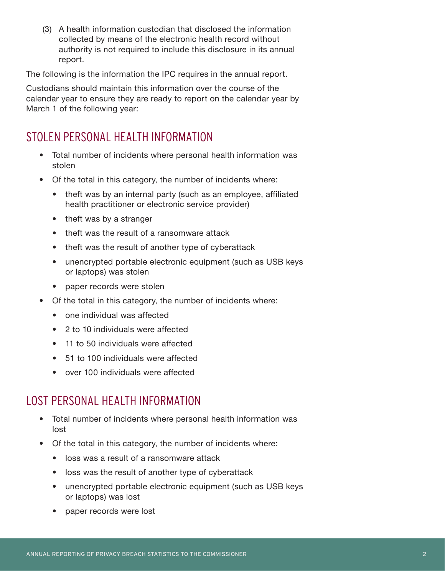(3) A health information custodian that disclosed the information collected by means of the electronic health record without authority is not required to include this disclosure in its annual report.

The following is the information the IPC requires in the annual report.

Custodians should maintain this information over the course of the calendar year to ensure they are ready to report on the calendar year by March 1 of the following year:

#### STOLEN PERSONAL HEALTH INFORMATION

- Total number of incidents where personal health information was stolen
- Of the total in this category, the number of incidents where:
	- theft was by an internal party (such as an employee, affiliated health practitioner or electronic service provider)
	- theft was by a stranger
	- theft was the result of a ransomware attack
	- theft was the result of another type of cyberattack
	- unencrypted portable electronic equipment (such as USB keys or laptops) was stolen
	- paper records were stolen
- Of the total in this category, the number of incidents where:
	- one individual was affected
	- 2 to 10 individuals were affected
	- 11 to 50 individuals were affected
	- 51 to 100 individuals were affected
	- over 100 individuals were affected

#### LOST PERSONAL HEALTH INFORMATION

- Total number of incidents where personal health information was lost
- Of the total in this category, the number of incidents where:
	- loss was a result of a ransomware attack
	- loss was the result of another type of cyberattack
	- unencrypted portable electronic equipment (such as USB keys or laptops) was lost
	- paper records were lost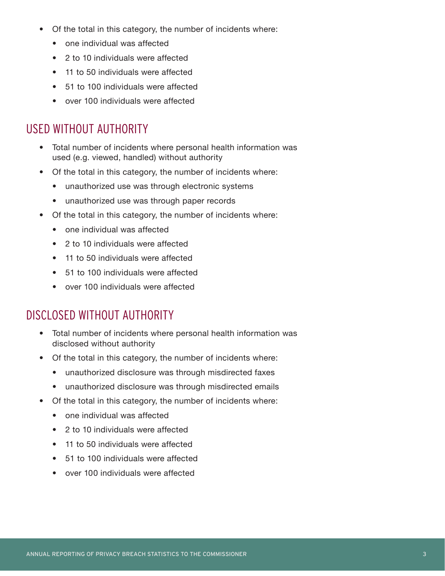- Of the total in this category, the number of incidents where:
	- one individual was affected
	- 2 to 10 individuals were affected
	- 11 to 50 individuals were affected
	- 51 to 100 individuals were affected
	- over 100 individuals were affected

#### USED WITHOUT AUTHORITY

- Total number of incidents where personal health information was used (e.g. viewed, handled) without authority
- Of the total in this category, the number of incidents where:
	- unauthorized use was through electronic systems
	- unauthorized use was through paper records
- Of the total in this category, the number of incidents where:
	- one individual was affected
	- 2 to 10 individuals were affected
	- 11 to 50 individuals were affected
	- 51 to 100 individuals were affected
	- over 100 individuals were affected

### DISCLOSED WITHOUT AUTHORITY

- Total number of incidents where personal health information was disclosed without authority
- Of the total in this category, the number of incidents where:
	- unauthorized disclosure was through misdirected faxes
	- unauthorized disclosure was through misdirected emails
- Of the total in this category, the number of incidents where:
	- one individual was affected
	- 2 to 10 individuals were affected
	- 11 to 50 individuals were affected
	- 51 to 100 individuals were affected
	- over 100 individuals were affected